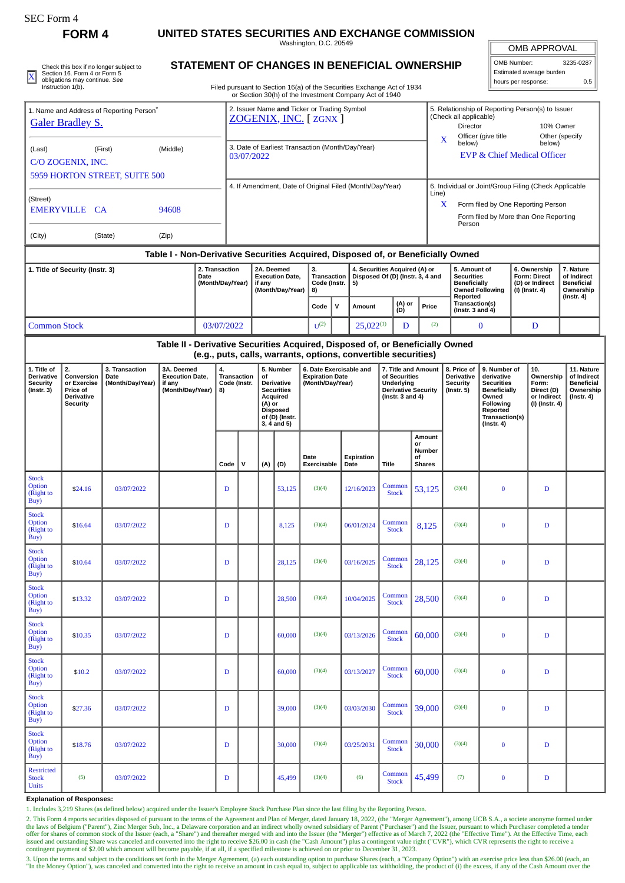| <b>SEC Form 4</b>                                                                                              |                                                                              |                                            |                                                                                  |  |                                                          |                                                                                                                                  |                                                                                                                                         |        |                                                                       |              |                                                                         |                                                                                                           |               |                                                                                                                                                    |                                                                                                                                                                                                                        |                                                                                                                                                |                     |                                                                          |                                                                                 |  |
|----------------------------------------------------------------------------------------------------------------|------------------------------------------------------------------------------|--------------------------------------------|----------------------------------------------------------------------------------|--|----------------------------------------------------------|----------------------------------------------------------------------------------------------------------------------------------|-----------------------------------------------------------------------------------------------------------------------------------------|--------|-----------------------------------------------------------------------|--------------|-------------------------------------------------------------------------|-----------------------------------------------------------------------------------------------------------|---------------|----------------------------------------------------------------------------------------------------------------------------------------------------|------------------------------------------------------------------------------------------------------------------------------------------------------------------------------------------------------------------------|------------------------------------------------------------------------------------------------------------------------------------------------|---------------------|--------------------------------------------------------------------------|---------------------------------------------------------------------------------|--|
|                                                                                                                | FORM <sub>4</sub>                                                            |                                            | UNITED STATES SECURITIES AND EXCHANGE COMMISSION<br>Washington, D.C. 20549       |  |                                                          |                                                                                                                                  |                                                                                                                                         |        |                                                                       |              |                                                                         |                                                                                                           |               |                                                                                                                                                    |                                                                                                                                                                                                                        |                                                                                                                                                | <b>OMB APPROVAL</b> |                                                                          |                                                                                 |  |
| Check this box if no longer subject to                                                                         |                                                                              |                                            |                                                                                  |  |                                                          | STATEMENT OF CHANGES IN BENEFICIAL OWNERSHIP                                                                                     |                                                                                                                                         |        |                                                                       |              |                                                                         |                                                                                                           |               |                                                                                                                                                    |                                                                                                                                                                                                                        |                                                                                                                                                | OMB Number:         |                                                                          | 3235-0287                                                                       |  |
| Section 16. Form 4 or Form 5<br>$\mathbf{\underline{x}}$<br>obligations may continue. See<br>Instruction 1(b). |                                                                              |                                            |                                                                                  |  |                                                          | Filed pursuant to Section 16(a) of the Securities Exchange Act of 1934<br>or Section 30(h) of the Investment Company Act of 1940 |                                                                                                                                         |        |                                                                       |              |                                                                         |                                                                                                           |               |                                                                                                                                                    |                                                                                                                                                                                                                        |                                                                                                                                                |                     | Estimated average burden<br>hours per response:<br>0.5                   |                                                                                 |  |
| 1. Name and Address of Reporting Person <sup>®</sup><br><b>Galer Bradley S.</b>                                |                                                                              |                                            |                                                                                  |  |                                                          | 2. Issuer Name and Ticker or Trading Symbol<br>ZOGENIX, INC. [ZGNX]                                                              |                                                                                                                                         |        |                                                                       |              |                                                                         |                                                                                                           |               |                                                                                                                                                    | 5. Relationship of Reporting Person(s) to Issuer<br>(Check all applicable)<br><b>Director</b><br>10% Owner<br>Officer (give title<br>Other (specify<br>X<br>below)<br>below)<br><b>EVP &amp; Chief Medical Officer</b> |                                                                                                                                                |                     |                                                                          |                                                                                 |  |
| (First)<br>(Middle)<br>(Last)<br>C/O ZOGENIX, INC.                                                             |                                                                              |                                            |                                                                                  |  |                                                          | 3. Date of Earliest Transaction (Month/Day/Year)<br>03/07/2022                                                                   |                                                                                                                                         |        |                                                                       |              |                                                                         |                                                                                                           |               |                                                                                                                                                    |                                                                                                                                                                                                                        |                                                                                                                                                |                     |                                                                          |                                                                                 |  |
|                                                                                                                |                                                                              | 5959 HORTON STREET, SUITE 500              |                                                                                  |  |                                                          |                                                                                                                                  |                                                                                                                                         |        |                                                                       |              |                                                                         |                                                                                                           |               |                                                                                                                                                    |                                                                                                                                                                                                                        |                                                                                                                                                |                     |                                                                          |                                                                                 |  |
| (Street)<br>94608<br>EMERYVILLE CA                                                                             |                                                                              |                                            |                                                                                  |  | 4. If Amendment, Date of Original Filed (Month/Day/Year) |                                                                                                                                  |                                                                                                                                         |        |                                                                       |              |                                                                         |                                                                                                           |               | 6. Individual or Joint/Group Filing (Check Applicable<br>Line)<br>X<br>Form filed by One Reporting Person<br>Form filed by More than One Reporting |                                                                                                                                                                                                                        |                                                                                                                                                |                     |                                                                          |                                                                                 |  |
| (City)                                                                                                         |                                                                              | (State)                                    | (Zip)                                                                            |  |                                                          |                                                                                                                                  |                                                                                                                                         |        |                                                                       |              |                                                                         |                                                                                                           |               |                                                                                                                                                    | Person                                                                                                                                                                                                                 |                                                                                                                                                |                     |                                                                          |                                                                                 |  |
|                                                                                                                |                                                                              |                                            | Table I - Non-Derivative Securities Acquired, Disposed of, or Beneficially Owned |  |                                                          |                                                                                                                                  |                                                                                                                                         |        |                                                                       |              |                                                                         |                                                                                                           |               |                                                                                                                                                    |                                                                                                                                                                                                                        |                                                                                                                                                |                     |                                                                          |                                                                                 |  |
| 2. Transaction<br>1. Title of Security (Instr. 3)<br>Date<br>(Month/Day/Year)                                  |                                                                              |                                            |                                                                                  |  |                                                          | 2A. Deemed<br><b>Execution Date,</b><br>if any<br>(Month/Day/Year)                                                               |                                                                                                                                         |        | 3.<br>Transaction<br>Code (Instr.<br>8)                               |              | 4. Securities Acquired (A) or<br>Disposed Of (D) (Instr. 3, 4 and<br>5) |                                                                                                           |               |                                                                                                                                                    | 5. Amount of<br><b>Securities</b><br><b>Beneficially</b>                                                                                                                                                               | <b>Owned Following</b>                                                                                                                         |                     | 6. Ownership<br><b>Form: Direct</b><br>(D) or Indirect<br>(I) (Instr. 4) | 7. Nature<br>of Indirect<br><b>Beneficial</b><br>Ownership                      |  |
|                                                                                                                |                                                                              |                                            |                                                                                  |  |                                                          |                                                                                                                                  |                                                                                                                                         |        | Code                                                                  | $\mathsf{v}$ | Amount                                                                  |                                                                                                           | (A) or<br>(D) | Price                                                                                                                                              | Reported<br>Transaction(s)<br>(Instr. 3 and 4)                                                                                                                                                                         |                                                                                                                                                |                     |                                                                          | $($ Instr. 4 $)$                                                                |  |
| <b>Common Stock</b><br>03/07/2022                                                                              |                                                                              |                                            |                                                                                  |  |                                                          |                                                                                                                                  |                                                                                                                                         |        | $U^{(2)}$                                                             |              | $25,022^{(1)}$                                                          | D                                                                                                         |               | (2)                                                                                                                                                | $\bf{0}$                                                                                                                                                                                                               |                                                                                                                                                |                     | D                                                                        |                                                                                 |  |
|                                                                                                                |                                                                              |                                            | Table II - Derivative Securities Acquired, Disposed of, or Beneficially Owned    |  |                                                          |                                                                                                                                  |                                                                                                                                         |        | (e.g., puts, calls, warrants, options, convertible securities)        |              |                                                                         |                                                                                                           |               |                                                                                                                                                    |                                                                                                                                                                                                                        |                                                                                                                                                |                     |                                                                          |                                                                                 |  |
| 1. Title of<br><b>Derivative</b><br><b>Security</b><br>(Instr. 3)                                              | 2.<br>Conversion<br>or Exercise<br>Price of<br>Derivative<br><b>Security</b> | 3. Transaction<br>Date<br>(Month/Day/Year) | 3A. Deemed<br><b>Execution Date,</b><br>if any<br>(Month/Day/Year)               |  | 4.<br><b>Transaction</b><br>Code (Instr.<br>8)           |                                                                                                                                  | 5. Number<br>of<br><b>Derivative</b><br><b>Securities</b><br>Acquired<br>(A) or<br><b>Disposed</b><br>of (D) (Instr.<br>$3, 4$ and $5)$ |        | 6. Date Exercisable and<br><b>Expiration Date</b><br>(Month/Day/Year) |              |                                                                         | 7. Title and Amount<br>of Securities<br>Underlying<br><b>Derivative Security</b><br>(Instr. $3$ and $4$ ) |               |                                                                                                                                                    | 8. Price of<br>Derivative<br><b>Security</b><br>$($ lnstr. 5 $)$                                                                                                                                                       | 9. Number of<br>derivative<br><b>Securities</b><br><b>Beneficially</b><br>Owned<br>Following<br>Reported<br>Transaction(s)<br>$($ Instr. 4 $)$ |                     | 10.<br>Ownership<br>Form:<br>Direct (D)<br>or Indirect<br>(I) (Instr. 4) | 11. Nature<br>of Indirect<br><b>Beneficial</b><br>Ownership<br>$($ Instr. 4 $)$ |  |
|                                                                                                                |                                                                              |                                            |                                                                                  |  | Code                                                     | v                                                                                                                                | (A)                                                                                                                                     | (D)    | Date<br>Exercisable                                                   |              | Expiration<br>Date                                                      | Title                                                                                                     |               | Amount<br>or<br>Number<br>οf<br><b>Shares</b>                                                                                                      |                                                                                                                                                                                                                        |                                                                                                                                                |                     |                                                                          |                                                                                 |  |
| <b>Stock</b><br><b>Option</b><br>(Right to<br>Buy)                                                             | \$24.16                                                                      | 03/07/2022                                 |                                                                                  |  | D                                                        |                                                                                                                                  |                                                                                                                                         | 53,125 | (3)(4)                                                                |              | 12/16/2023                                                              | Common<br><b>Stock</b>                                                                                    |               | 53,125                                                                                                                                             | (3)(4)                                                                                                                                                                                                                 | $\pmb{0}$                                                                                                                                      |                     | D                                                                        |                                                                                 |  |
| <b>Stock</b><br><b>Option</b><br>(Right to<br>Buy)                                                             | \$16.64                                                                      | 03/07/2022                                 |                                                                                  |  | D                                                        |                                                                                                                                  |                                                                                                                                         | 8,125  | (3)(4)                                                                |              | 06/01/2024                                                              | Common<br><b>Stock</b>                                                                                    |               | 8,125                                                                                                                                              | (3)(4)                                                                                                                                                                                                                 | $\bf{0}$                                                                                                                                       |                     | $\mathbf D$                                                              |                                                                                 |  |
| <b>Stock</b><br>Option<br>(Right to<br>Buy)                                                                    | \$10.64                                                                      | 03/07/2022                                 |                                                                                  |  | D                                                        |                                                                                                                                  |                                                                                                                                         | 28,125 | (3)(4)                                                                |              | 03/16/2025                                                              | Common<br><b>Stock</b>                                                                                    |               | 28,125                                                                                                                                             | (3)(4)                                                                                                                                                                                                                 | $\bf{0}$                                                                                                                                       |                     | D                                                                        |                                                                                 |  |
| <b>Stock</b><br>Option<br>(Right to<br>Buy)                                                                    | \$13.32                                                                      | 03/07/2022                                 |                                                                                  |  | D                                                        |                                                                                                                                  |                                                                                                                                         | 28,500 | (3)(4)                                                                |              | 10/04/2025                                                              | Common<br><b>Stock</b>                                                                                    |               | 28,500                                                                                                                                             | (3)(4)                                                                                                                                                                                                                 | $\bf{0}$                                                                                                                                       |                     | D                                                                        |                                                                                 |  |
| <b>Stock</b><br>Option<br>(Right to<br>Buy)                                                                    | \$10.35                                                                      | 03/07/2022                                 |                                                                                  |  | D                                                        |                                                                                                                                  |                                                                                                                                         | 60,000 | (3)(4)                                                                |              | 03/13/2026                                                              | Common<br><b>Stock</b>                                                                                    |               | 60,000                                                                                                                                             | (3)(4)                                                                                                                                                                                                                 | $\bf{0}$                                                                                                                                       |                     | D                                                                        |                                                                                 |  |
| <b>Stock</b><br><b>Option</b><br>(Right to<br>Buy)                                                             | \$10.2                                                                       | 03/07/2022                                 |                                                                                  |  | D                                                        |                                                                                                                                  |                                                                                                                                         | 60,000 | (3)(4)                                                                |              | 03/13/2027                                                              | Common<br><b>Stock</b>                                                                                    |               | 60,000                                                                                                                                             | (3)(4)                                                                                                                                                                                                                 | $\bf{0}$                                                                                                                                       |                     | D                                                                        |                                                                                 |  |
| <b>Stock</b><br>Option<br>(Right to<br>Buy)                                                                    | \$27.36                                                                      | 03/07/2022                                 |                                                                                  |  | D                                                        |                                                                                                                                  |                                                                                                                                         | 39,000 | (3)(4)                                                                |              | 03/03/2030                                                              | Common<br><b>Stock</b>                                                                                    |               | 39,000                                                                                                                                             | (3)(4)                                                                                                                                                                                                                 | $\bf{0}$                                                                                                                                       |                     | D                                                                        |                                                                                 |  |
| <b>Stock</b><br>Option<br>(Right to<br>Buy)                                                                    | \$18.76                                                                      | 03/07/2022                                 |                                                                                  |  | D                                                        |                                                                                                                                  |                                                                                                                                         | 30,000 | (3)(4)                                                                |              | 03/25/2031                                                              | Common<br><b>Stock</b>                                                                                    |               | 30,000                                                                                                                                             | (3)(4)                                                                                                                                                                                                                 | $\bf{0}$                                                                                                                                       |                     | D                                                                        |                                                                                 |  |
| <b>Restricted</b><br><b>Stock</b><br><b>Units</b>                                                              | (5)                                                                          | 03/07/2022                                 |                                                                                  |  | D                                                        |                                                                                                                                  |                                                                                                                                         | 45,499 | (3)(4)                                                                |              | (6)                                                                     | Common<br><b>Stock</b>                                                                                    |               | 45,499                                                                                                                                             | (7)                                                                                                                                                                                                                    | $\bf{0}$                                                                                                                                       |                     | D                                                                        |                                                                                 |  |

**Explanation of Responses:**

1. Includes 3,219 Shares (as defined below) acquired under the Issuer's Employee Stock Purchase Plan since the last filing by the Reporting Person.

2. This Form 4 reports securities disposed of pursuant to the terms of the Agreement and Plan of Merger, dated January 18, 2022, (the "Merger Agreement"), among UCB S.A., a societe anonyme formed under<br>the laws of Belgium

3. Upon the terms and subject to the conditions set forth in the Merger Agreement, (a) each outstanding option to purchase Shares (each, a "Company Option") with an exercise price less than \$26.00 (each, an<br>"In the Money O